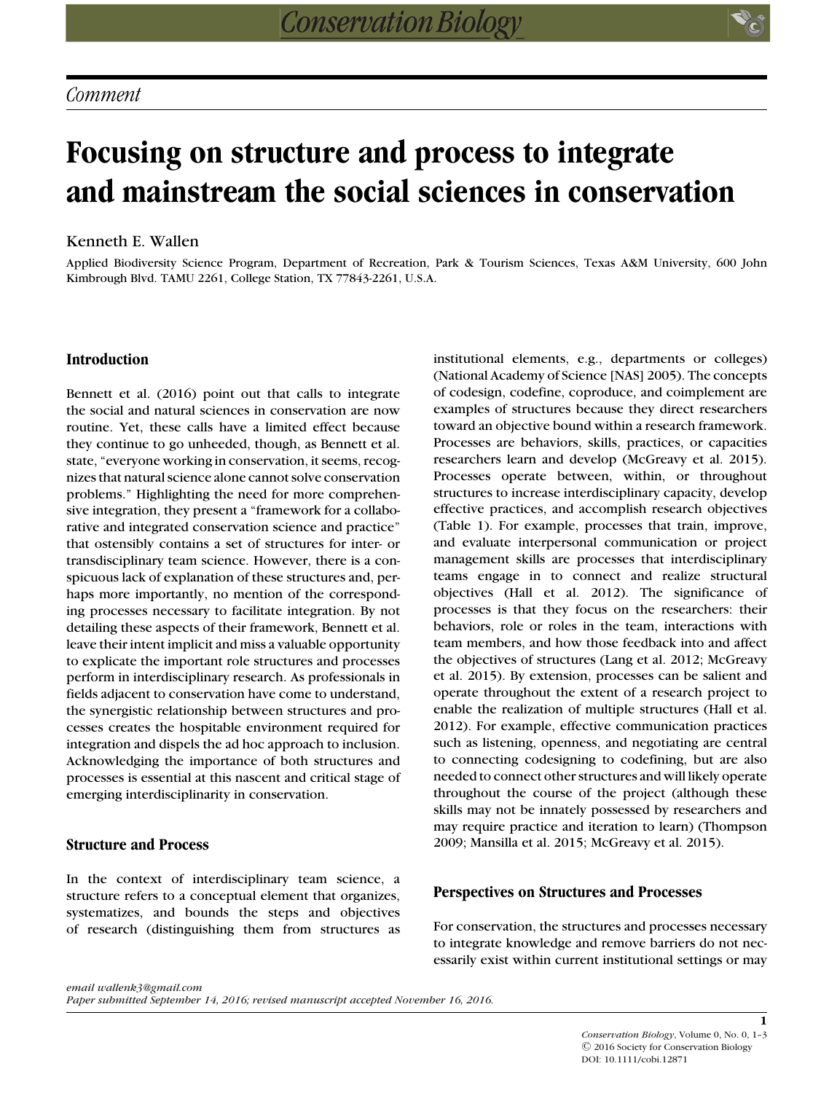# **Focusing on structure and process to integrate and mainstream the social sciences in conservation**

## Kenneth E. Wallen

Applied Biodiversity Science Program, Department of Recreation, Park & Tourism Sciences, Texas A&M University, 600 John Kimbrough Blvd. TAMU 2261, College Station, TX 77843-2261, U.S.A.

# **Introduction**

Bennett et al. (2016) point out that calls to integrate the social and natural sciences in conservation are now routine. Yet, these calls have a limited effect because they continue to go unheeded, though, as Bennett et al. state, "everyone working in conservation, it seems, recognizes that natural science alone cannot solve conservation problems." Highlighting the need for more comprehensive integration, they present a "framework for a collaborative and integrated conservation science and practice" that ostensibly contains a set of structures for inter- or transdisciplinary team science. However, there is a conspicuous lack of explanation of these structures and, perhaps more importantly, no mention of the corresponding processes necessary to facilitate integration. By not detailing these aspects of their framework, Bennett et al. leave their intent implicit and miss a valuable opportunity to explicate the important role structures and processes perform in interdisciplinary research. As professionals in fields adjacent to conservation have come to understand, the synergistic relationship between structures and processes creates the hospitable environment required for integration and dispels the ad hoc approach to inclusion. Acknowledging the importance of both structures and processes is essential at this nascent and critical stage of emerging interdisciplinarity in conservation.

### **Structure and Process**

In the context of interdisciplinary team science, a structure refers to a conceptual element that organizes, systematizes, and bounds the steps and objectives of research (distinguishing them from structures as institutional elements, e.g., departments or colleges) (National Academy of Science [NAS] 2005). The concepts of codesign, codefine, coproduce, and coimplement are examples of structures because they direct researchers toward an objective bound within a research framework. Processes are behaviors, skills, practices, or capacities researchers learn and develop (McGreavy et al. 2015). Processes operate between, within, or throughout structures to increase interdisciplinary capacity, develop effective practices, and accomplish research objectives (Table 1). For example, processes that train, improve, and evaluate interpersonal communication or project management skills are processes that interdisciplinary teams engage in to connect and realize structural objectives (Hall et al. 2012). The significance of processes is that they focus on the researchers: their behaviors, role or roles in the team, interactions with team members, and how those feedback into and affect the objectives of structures (Lang et al. 2012; McGreavy et al. 2015). By extension, processes can be salient and operate throughout the extent of a research project to enable the realization of multiple structures (Hall et al. 2012). For example, effective communication practices such as listening, openness, and negotiating are central to connecting codesigning to codefining, but are also needed to connect other structures and will likely operate throughout the course of the project (although these skills may not be innately possessed by researchers and may require practice and iteration to learn) (Thompson 2009; Mansilla et al. 2015; McGreavy et al. 2015).

## **Perspectives on Structures and Processes**

For conservation, the structures and processes necessary to integrate knowledge and remove barriers do not necessarily exist within current institutional settings or may

**1**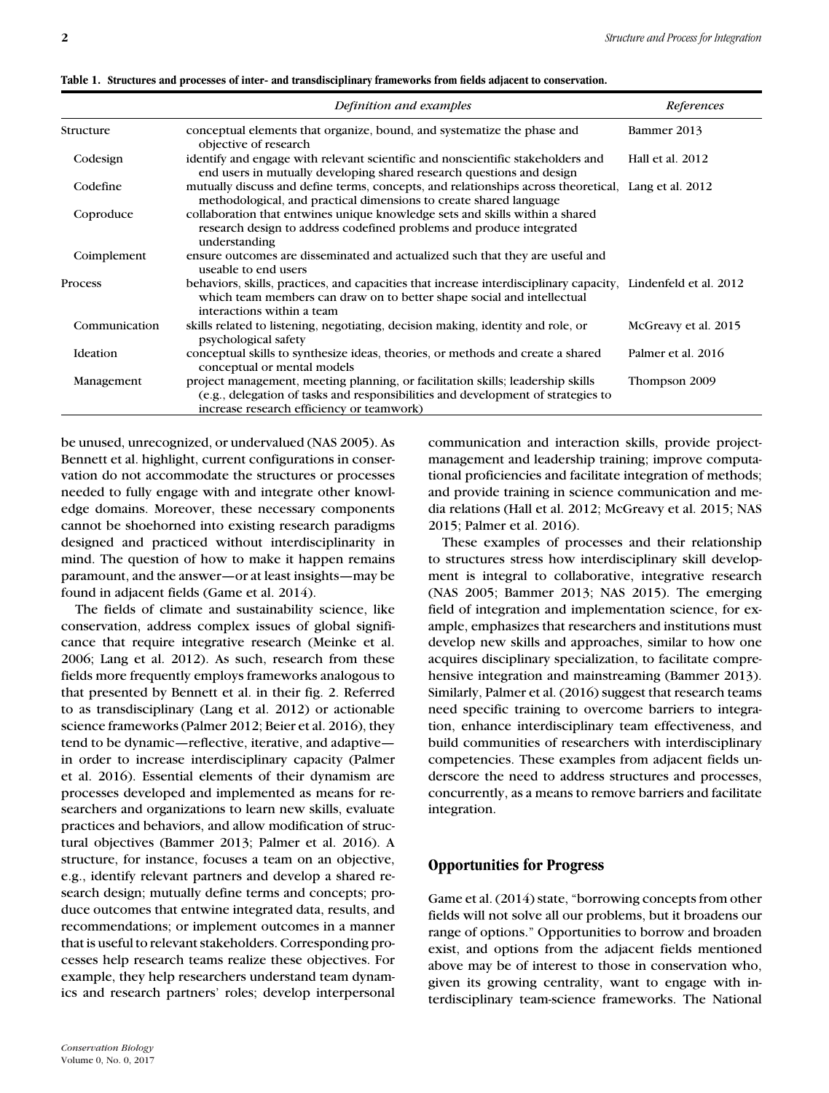|               | Definition and examples                                                                                                                                                                                               | References           |
|---------------|-----------------------------------------------------------------------------------------------------------------------------------------------------------------------------------------------------------------------|----------------------|
| Structure     | conceptual elements that organize, bound, and systematize the phase and<br>objective of research                                                                                                                      | Bammer 2013          |
| Codesign      | identify and engage with relevant scientific and nonscientific stakeholders and<br>end users in mutually developing shared research questions and design                                                              | Hall et al. 2012     |
| Codefine      | mutually discuss and define terms, concepts, and relationships across theoretical, Lang et al. 2012<br>methodological, and practical dimensions to create shared language                                             |                      |
| Coproduce     | collaboration that entwines unique knowledge sets and skills within a shared<br>research design to address codefined problems and produce integrated<br>understanding                                                 |                      |
| Coimplement   | ensure outcomes are disseminated and actualized such that they are useful and<br>useable to end users                                                                                                                 |                      |
| Process       | behaviors, skills, practices, and capacities that increase interdisciplinary capacity, Lindenfeld et al. 2012<br>which team members can draw on to better shape social and intellectual<br>interactions within a team |                      |
| Communication | skills related to listening, negotiating, decision making, identity and role, or<br>psychological safety                                                                                                              | McGreavy et al. 2015 |
| Ideation      | conceptual skills to synthesize ideas, theories, or methods and create a shared<br>conceptual or mental models                                                                                                        | Palmer et al. 2016   |
| Management    | project management, meeting planning, or facilitation skills; leadership skills<br>(e.g., delegation of tasks and responsibilities and development of strategies to<br>increase research efficiency or teamwork)      | Thompson 2009        |

**Table 1. Structures and processes of inter- and transdisciplinary frameworks from fields adjacent to conservation.**

be unused, unrecognized, or undervalued (NAS 2005). As Bennett et al. highlight, current configurations in conservation do not accommodate the structures or processes needed to fully engage with and integrate other knowledge domains. Moreover, these necessary components cannot be shoehorned into existing research paradigms designed and practiced without interdisciplinarity in mind. The question of how to make it happen remains paramount, and the answer—or at least insights—may be found in adjacent fields (Game et al. 2014).

The fields of climate and sustainability science, like conservation, address complex issues of global significance that require integrative research (Meinke et al. 2006; Lang et al. 2012). As such, research from these fields more frequently employs frameworks analogous to that presented by Bennett et al. in their fig. 2. Referred to as transdisciplinary (Lang et al. 2012) or actionable science frameworks (Palmer 2012; Beier et al. 2016), they tend to be dynamic—reflective, iterative, and adaptive in order to increase interdisciplinary capacity (Palmer et al. 2016). Essential elements of their dynamism are processes developed and implemented as means for researchers and organizations to learn new skills, evaluate practices and behaviors, and allow modification of structural objectives (Bammer 2013; Palmer et al. 2016). A structure, for instance, focuses a team on an objective, e.g., identify relevant partners and develop a shared research design; mutually define terms and concepts; produce outcomes that entwine integrated data, results, and recommendations; or implement outcomes in a manner that is useful to relevant stakeholders. Corresponding processes help research teams realize these objectives. For example, they help researchers understand team dynamics and research partners' roles; develop interpersonal

*Conservation Biology* Volume 0, No. 0, 2017 communication and interaction skills, provide projectmanagement and leadership training; improve computational proficiencies and facilitate integration of methods; and provide training in science communication and media relations (Hall et al. 2012; McGreavy et al. 2015; NAS 2015; Palmer et al. 2016).

These examples of processes and their relationship to structures stress how interdisciplinary skill development is integral to collaborative, integrative research (NAS 2005; Bammer 2013; NAS 2015). The emerging field of integration and implementation science, for example, emphasizes that researchers and institutions must develop new skills and approaches, similar to how one acquires disciplinary specialization, to facilitate comprehensive integration and mainstreaming (Bammer 2013). Similarly, Palmer et al. (2016) suggest that research teams need specific training to overcome barriers to integration, enhance interdisciplinary team effectiveness, and build communities of researchers with interdisciplinary competencies. These examples from adjacent fields underscore the need to address structures and processes, concurrently, as a means to remove barriers and facilitate integration.

#### **Opportunities for Progress**

Game et al. (2014) state, "borrowing concepts from other fields will not solve all our problems, but it broadens our range of options." Opportunities to borrow and broaden exist, and options from the adjacent fields mentioned above may be of interest to those in conservation who, given its growing centrality, want to engage with interdisciplinary team-science frameworks. The National